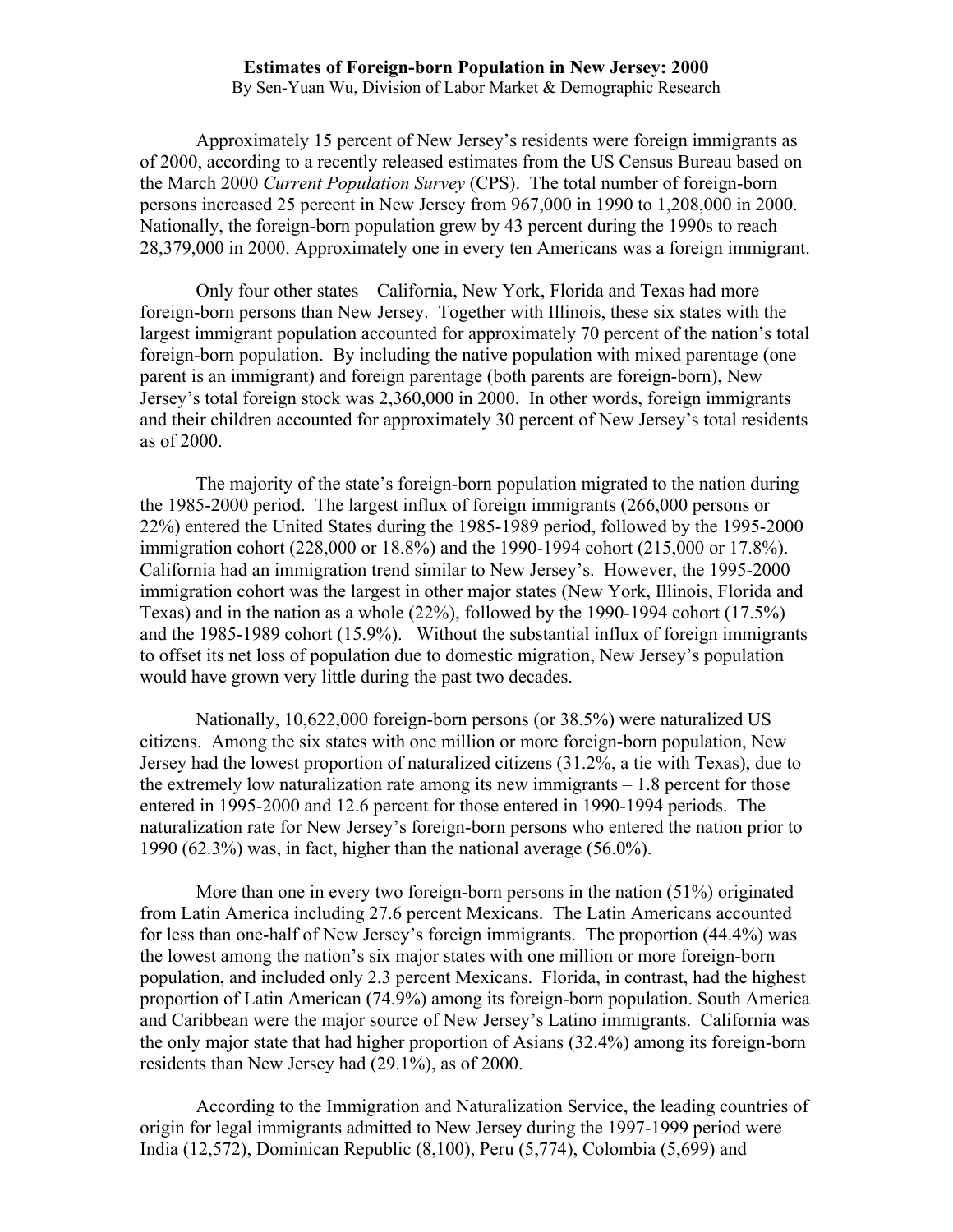## **Estimates of Foreign-born Population in New Jersey: 2000**

By Sen-Yuan Wu, Division of Labor Market & Demographic Research

 Approximately 15 percent of New Jersey's residents were foreign immigrants as of 2000, according to a recently released estimates from the US Census Bureau based on the March 2000 *Current Population Survey* (CPS). The total number of foreign-born persons increased 25 percent in New Jersey from 967,000 in 1990 to 1,208,000 in 2000. Nationally, the foreign-born population grew by 43 percent during the 1990s to reach 28,379,000 in 2000. Approximately one in every ten Americans was a foreign immigrant.

Only four other states – California, New York, Florida and Texas had more foreign-born persons than New Jersey. Together with Illinois, these six states with the largest immigrant population accounted for approximately 70 percent of the nation's total foreign-born population. By including the native population with mixed parentage (one parent is an immigrant) and foreign parentage (both parents are foreign-born), New Jersey's total foreign stock was 2,360,000 in 2000. In other words, foreign immigrants and their children accounted for approximately 30 percent of New Jersey's total residents as of 2000.

 The majority of the state's foreign-born population migrated to the nation during the 1985-2000 period. The largest influx of foreign immigrants (266,000 persons or 22%) entered the United States during the 1985-1989 period, followed by the 1995-2000 immigration cohort (228,000 or 18.8%) and the 1990-1994 cohort (215,000 or 17.8%). California had an immigration trend similar to New Jersey's. However, the 1995-2000 immigration cohort was the largest in other major states (New York, Illinois, Florida and Texas) and in the nation as a whole (22%), followed by the 1990-1994 cohort (17.5%) and the 1985-1989 cohort (15.9%). Without the substantial influx of foreign immigrants to offset its net loss of population due to domestic migration, New Jersey's population would have grown very little during the past two decades.

Nationally, 10,622,000 foreign-born persons (or 38.5%) were naturalized US citizens. Among the six states with one million or more foreign-born population, New Jersey had the lowest proportion of naturalized citizens (31.2%, a tie with Texas), due to the extremely low naturalization rate among its new immigrants – 1.8 percent for those entered in 1995-2000 and 12.6 percent for those entered in 1990-1994 periods. The naturalization rate for New Jersey's foreign-born persons who entered the nation prior to 1990 (62.3%) was, in fact, higher than the national average (56.0%).

 More than one in every two foreign-born persons in the nation (51%) originated from Latin America including 27.6 percent Mexicans. The Latin Americans accounted for less than one-half of New Jersey's foreign immigrants. The proportion (44.4%) was the lowest among the nation's six major states with one million or more foreign-born population, and included only 2.3 percent Mexicans. Florida, in contrast, had the highest proportion of Latin American (74.9%) among its foreign-born population. South America and Caribbean were the major source of New Jersey's Latino immigrants. California was the only major state that had higher proportion of Asians (32.4%) among its foreign-born residents than New Jersey had (29.1%), as of 2000.

 According to the Immigration and Naturalization Service, the leading countries of origin for legal immigrants admitted to New Jersey during the 1997-1999 period were India (12,572), Dominican Republic (8,100), Peru (5,774), Colombia (5,699) and